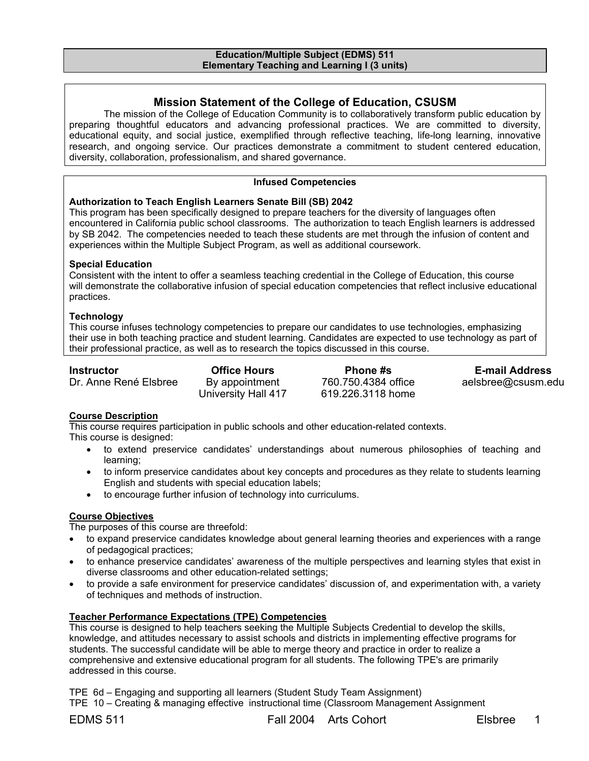#### **Education/Multiple Subject (EDMS) 511 Elementary Teaching and Learning I (3 units)**

## **Mission Statement of the College of Education, CSUSM**

The mission of the College of Education Community is to collaboratively transform public education by preparing thoughtful educators and advancing professional practices. We are committed to diversity, educational equity, and social justice, exemplified through reflective teaching, life-long learning, innovative research, and ongoing service. Our practices demonstrate a commitment to student centered education, diversity, collaboration, professionalism, and shared governance.

#### **Infused Competencies**

#### **Authorization to Teach English Learners Senate Bill (SB) 2042**

This program has been specifically designed to prepare teachers for the diversity of languages often encountered in California public school classrooms. The authorization to teach English learners is addressed by SB 2042. The competencies needed to teach these students are met through the infusion of content and experiences within the Multiple Subject Program, as well as additional coursework.

#### **Special Education**

Consistent with the intent to offer a seamless teaching credential in the College of Education, this course will demonstrate the collaborative infusion of special education competencies that reflect inclusive educational practices.

#### **Technology**

This course infuses technology competencies to prepare our candidates to use technologies, emphasizing their use in both teaching practice and student learning. Candidates are expected to use technology as part of their professional practice, as well as to research the topics discussed in this course.

Dr. Anne René Elsbree

University Hall 417

760.750.4384 office 619.226.3118 home

**Instructor Office Hours Phone #s E-mail Address**<br>Dr. Anne René Elsbree By appointment 760.750.4384 office aelsbree@csusm.e aelsbree@csusm.edu

### **Course Description**

This course requires participation in public schools and other education-related contexts. This course is designed:

- to extend preservice candidates' understandings about numerous philosophies of teaching and learning;
- to inform preservice candidates about key concepts and procedures as they relate to students learning English and students with special education labels;
- to encourage further infusion of technology into curriculums.

### **Course Objectives**

The purposes of this course are threefold:

- to expand preservice candidates knowledge about general learning theories and experiences with a range of pedagogical practices;
- to enhance preservice candidates' awareness of the multiple perspectives and learning styles that exist in diverse classrooms and other education-related settings;
- to provide a safe environment for preservice candidates' discussion of, and experimentation with, a variety of techniques and methods of instruction.

### **Teacher Performance Expectations (TPE) Competencies**

This course is designed to help teachers seeking the Multiple Subjects Credential to develop the skills, knowledge, and attitudes necessary to assist schools and districts in implementing effective programs for students. The successful candidate will be able to merge theory and practice in order to realize a comprehensive and extensive educational program for all students. The following TPE's are primarily addressed in this course.

TPE 6d – Engaging and supporting all learners (Student Study Team Assignment)

TPE 10 – Creating & managing effective instructional time (Classroom Management Assignment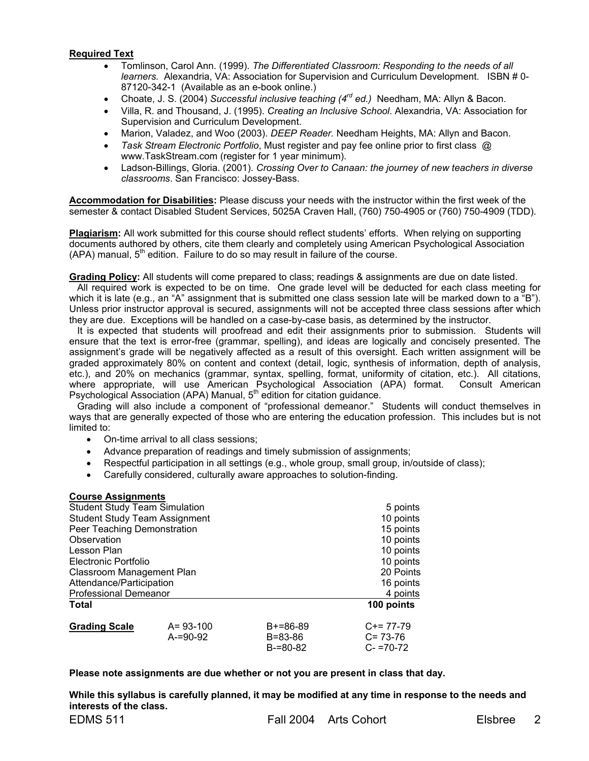### **Required Text**

- Tomlinson, Carol Ann. (1999). *The Differentiated Classroom: Responding to the needs of all learners.* Alexandria, VA: Association for Supervision and Curriculum Development. ISBN # 0- 87120-342-1 (Available as an e-book online.)
- Choate, J. S. (2004) *Successful inclusive teaching (4rd ed.)* Needham, MA: Allyn & Bacon.
- Villa, R. and Thousand, J. (1995). *Creating an Inclusive School*. Alexandria, VA: Association for Supervision and Curriculum Development.
- Marion, Valadez, and Woo (2003). *DEEP Reader.* Needham Heights, MA: Allyn and Bacon.
- *Task Stream Electronic Portfolio*, Must register and pay fee online prior to first class @ www.TaskStream.com (register for 1 year minimum).
- Ladson-Billings, Gloria. (2001). *Crossing Over to Canaan: the journey of new teachers in diverse classrooms*. San Francisco: Jossey-Bass.

**Accommodation for Disabilities:** Please discuss your needs with the instructor within the first week of the semester & contact Disabled Student Services, 5025A Craven Hall, (760) 750-4905 or (760) 750-4909 (TDD).

**Plagiarism:** All work submitted for this course should reflect students' efforts. When relying on supporting documents authored by others, cite them clearly and completely using American Psychological Association (APA) manual, 5<sup>th</sup> edition. Failure to do so may result in failure of the course.

**Grading Policy:** All students will come prepared to class; readings & assignments are due on date listed.

 All required work is expected to be on time. One grade level will be deducted for each class meeting for which it is late (e.g., an "A" assignment that is submitted one class session late will be marked down to a  $E$ "B"). Unless prior instructor approval is secured, assignments will not be accepted three class sessions after which they are due. Exceptions will be handled on a case-by-case basis, as determined by the instructor.

It is expected that students will proofread and edit their assignments prior to submission. Students will ensure that the text is error-free (grammar, spelling), and ideas are logically and concisely presented. The assignment's grade will be negatively affected as a result of this oversight. Each written assignment will be graded approximately 80% on content and context (detail, logic, synthesis of information, depth of analysis, etc.), and 20% on mechanics (grammar, syntax, spelling, format, uniformity of citation, etc.). All citations, where appropriate, will use American Psychological Association (APA) format. Consult American Psychological Association (APA) Manual,  $5<sup>th</sup>$  edition for citation guidance.

 Grading will also include a component of "professional demeanor." Students will conduct themselves in ways that are generally expected of those who are entering the education profession. This includes but is not limited to:

- On-time arrival to all class sessions;
- Advance preparation of readings and timely submission of assignments;
- Respectful participation in all settings (e.g., whole group, small group, in/outside of class);
- Carefully considered, culturally aware approaches to solution-finding.

#### **Course Assignments**

| <b>Student Study Team Simulation</b> |                |            | 5 points      |
|--------------------------------------|----------------|------------|---------------|
| <b>Student Study Team Assignment</b> |                |            | 10 points     |
| Peer Teaching Demonstration          |                |            | 15 points     |
| Observation                          |                |            | 10 points     |
| Lesson Plan                          |                |            | 10 points     |
| Electronic Portfolio                 |                |            | 10 points     |
| Classroom Management Plan            |                |            | 20 Points     |
| Attendance/Participation             |                |            | 16 points     |
| <b>Professional Demeanor</b>         |                |            | 4 points      |
| <b>Total</b>                         |                |            | 100 points    |
| <b>Grading Scale</b>                 | $A = 93 - 100$ | $B+=86-89$ | $C+= 77-79$   |
|                                      | $A = 90 - 92$  | B=83-86    | $C = 73-76$   |
|                                      |                | $B=80-82$  | $C - 70 - 72$ |

#### **Please note assignments are due whether or not you are present in class that day.**

**While this syllabus is carefully planned, it may be modified at any time in response to the needs and interests of the class.**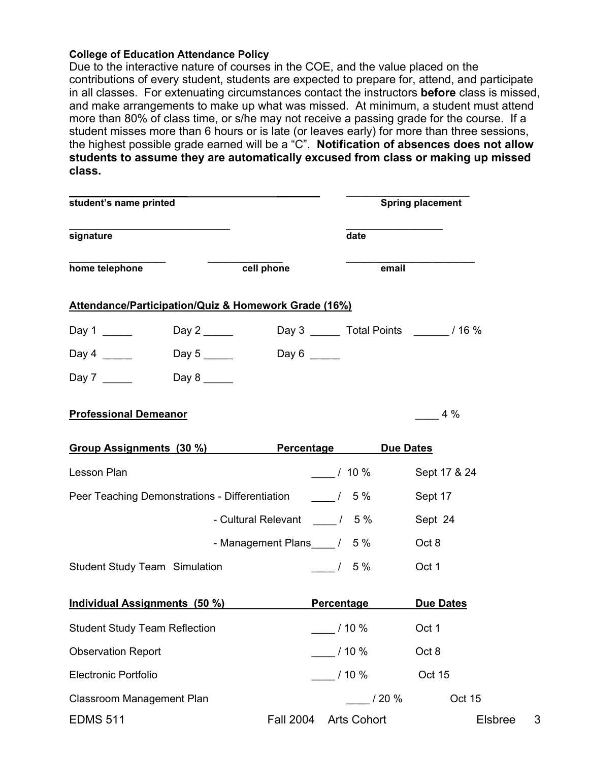## **College of Education Attendance Policy**

Due to the interactive nature of courses in the COE, and the value placed on the contributions of every student, students are expected to prepare for, attend, and participate in all classes. For extenuating circumstances contact the instructors **before** class is missed, and make arrangements to make up what was missed. At minimum, a student must attend more than 80% of class time, or s/he may not receive a passing grade for the course. If a student misses more than 6 hours or is late (or leaves early) for more than three sessions, the highest possible grade earned will be a "C". **Notification of absences does not allow students to assume they are automatically excused from class or making up missed class.** 

|            |        | <b>Spring placement</b>                                                                                                                                                                                                                                                                                                                                                                   |
|------------|--------|-------------------------------------------------------------------------------------------------------------------------------------------------------------------------------------------------------------------------------------------------------------------------------------------------------------------------------------------------------------------------------------------|
|            | date   |                                                                                                                                                                                                                                                                                                                                                                                           |
| cell phone | email  |                                                                                                                                                                                                                                                                                                                                                                                           |
|            |        |                                                                                                                                                                                                                                                                                                                                                                                           |
|            |        |                                                                                                                                                                                                                                                                                                                                                                                           |
|            |        |                                                                                                                                                                                                                                                                                                                                                                                           |
|            |        |                                                                                                                                                                                                                                                                                                                                                                                           |
|            |        | $4\%$                                                                                                                                                                                                                                                                                                                                                                                     |
|            |        |                                                                                                                                                                                                                                                                                                                                                                                           |
|            |        | Sept 17 & 24                                                                                                                                                                                                                                                                                                                                                                              |
|            |        | Sept 17                                                                                                                                                                                                                                                                                                                                                                                   |
|            |        | Sept 24                                                                                                                                                                                                                                                                                                                                                                                   |
|            |        | Oct 8                                                                                                                                                                                                                                                                                                                                                                                     |
|            |        | Oct 1                                                                                                                                                                                                                                                                                                                                                                                     |
|            |        | <b>Due Dates</b>                                                                                                                                                                                                                                                                                                                                                                          |
|            |        | Oct 1                                                                                                                                                                                                                                                                                                                                                                                     |
|            |        | Oct 8                                                                                                                                                                                                                                                                                                                                                                                     |
|            |        | Oct 15                                                                                                                                                                                                                                                                                                                                                                                    |
|            | / 20 % | Oct 15                                                                                                                                                                                                                                                                                                                                                                                    |
|            |        | <b>Elsbree</b>                                                                                                                                                                                                                                                                                                                                                                            |
|            |        | Attendance/Participation/Quiz & Homework Grade (16%)<br>Day 3 ________ Total Points _________ / 16 %<br>Day 6 _____<br>Group Assignments (30 %) Percentage Due Dates<br>110%<br>Peer Teaching Demonstrations - Differentiation 15%<br>- Cultural Relevant ________ / 5 %<br>- Management Plans 1 5 %<br>$/5\%$<br><b>Percentage</b><br>/10%<br>$10\%$<br>$-110%$<br>Fall 2004 Arts Cohort |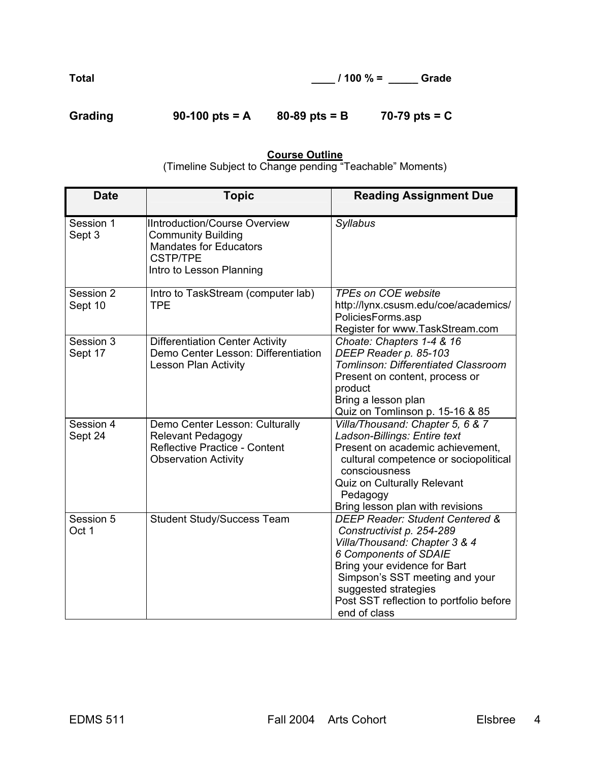**Total \_\_\_\_ / 100 % = \_\_\_\_\_ Grade** 

| Grading |                  |                   | 70-79 pts = $C$ |
|---------|------------------|-------------------|-----------------|
|         | 90-100 pts = $A$ | $80 - 89$ pts = B |                 |

## **Course Outline**

(Timeline Subject to Change pending "Teachable" Moments)

| <b>Date</b>          | <b>Topic</b>                                                                                                                                      | <b>Reading Assignment Due</b>                                                                                                                                                                                                                                                      |
|----------------------|---------------------------------------------------------------------------------------------------------------------------------------------------|------------------------------------------------------------------------------------------------------------------------------------------------------------------------------------------------------------------------------------------------------------------------------------|
| Session 1<br>Sept 3  | <b>IIntroduction/Course Overview</b><br><b>Community Building</b><br><b>Mandates for Educators</b><br><b>CSTP/TPE</b><br>Intro to Lesson Planning | <b>Syllabus</b>                                                                                                                                                                                                                                                                    |
| Session 2<br>Sept 10 | Intro to TaskStream (computer lab)<br><b>TPE</b>                                                                                                  | <b>TPEs on COE website</b><br>http://lynx.csusm.edu/coe/academics/<br>PoliciesForms.asp<br>Register for www.TaskStream.com                                                                                                                                                         |
| Session 3<br>Sept 17 | <b>Differentiation Center Activity</b><br>Demo Center Lesson: Differentiation<br>Lesson Plan Activity                                             | Choate: Chapters 1-4 & 16<br>DEEP Reader p. 85-103<br>Tomlinson: Differentiated Classroom<br>Present on content, process or<br>product<br>Bring a lesson plan<br>Quiz on Tomlinson p. 15-16 & 85                                                                                   |
| Session 4<br>Sept 24 | Demo Center Lesson: Culturally<br>Relevant Pedagogy<br>Reflective Practice - Content<br><b>Observation Activity</b>                               | Villa/Thousand: Chapter 5, 6 & 7<br>Ladson-Billings: Entire text<br>Present on academic achievement,<br>cultural competence or sociopolitical<br>consciousness<br>Quiz on Culturally Relevant<br>Pedagogy<br>Bring lesson plan with revisions                                      |
| Session 5<br>Oct 1   | <b>Student Study/Success Team</b>                                                                                                                 | DEEP Reader: Student Centered &<br>Constructivist p. 254-289<br>Villa/Thousand: Chapter 3 & 4<br><b>6 Components of SDAIE</b><br>Bring your evidence for Bart<br>Simpson's SST meeting and your<br>suggested strategies<br>Post SST reflection to portfolio before<br>end of class |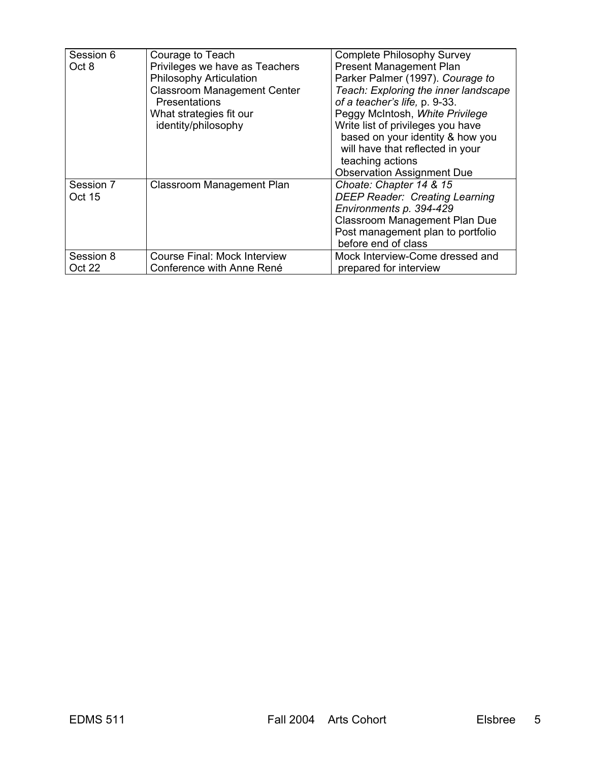| Session 6<br>Oct 8  | Courage to Teach<br>Privileges we have as Teachers<br>Philosophy Articulation<br><b>Classroom Management Center</b><br><b>Presentations</b><br>What strategies fit our<br>identity/philosophy | <b>Complete Philosophy Survey</b><br><b>Present Management Plan</b><br>Parker Palmer (1997). Courage to<br>Teach: Exploring the inner landscape<br>of a teacher's life, p. 9-33.<br>Peggy McIntosh, White Privilege<br>Write list of privileges you have<br>based on your identity & how you<br>will have that reflected in your<br>teaching actions<br><b>Observation Assignment Due</b> |
|---------------------|-----------------------------------------------------------------------------------------------------------------------------------------------------------------------------------------------|-------------------------------------------------------------------------------------------------------------------------------------------------------------------------------------------------------------------------------------------------------------------------------------------------------------------------------------------------------------------------------------------|
| Session 7<br>Oct 15 | Classroom Management Plan                                                                                                                                                                     | Choate: Chapter 14 & 15<br><b>DEEP Reader: Creating Learning</b><br>Environments p. 394-429<br><b>Classroom Management Plan Due</b><br>Post management plan to portfolio<br>before end of class                                                                                                                                                                                           |
| Session 8           | Course Final: Mock Interview                                                                                                                                                                  | Mock Interview-Come dressed and                                                                                                                                                                                                                                                                                                                                                           |
| Oct 22              | Conference with Anne René                                                                                                                                                                     | prepared for interview                                                                                                                                                                                                                                                                                                                                                                    |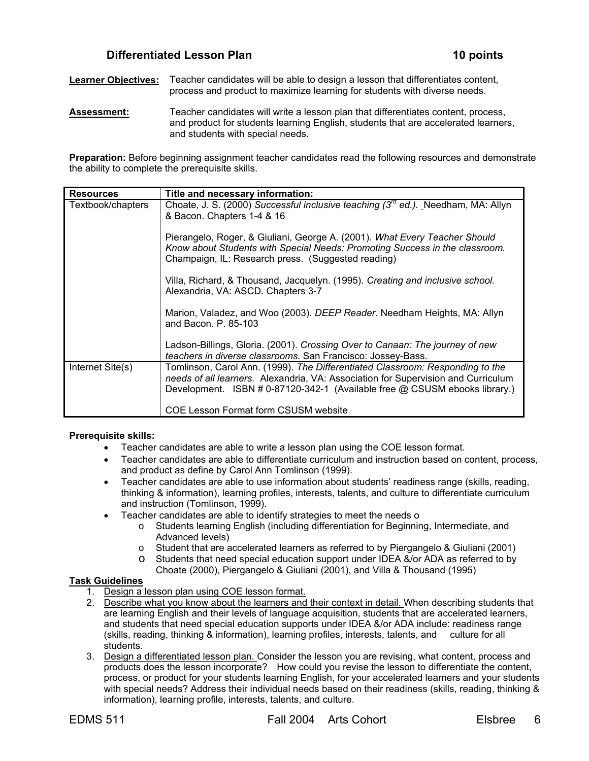## **Differentiated Lesson Plan 10 points**

**Learner Objectives:** Teacher candidates will be able to design a lesson that differentiates content, process and product to maximize learning for students with diverse needs.

**Assessment:** Teacher candidates will write a lesson plan that differentiates content, process, and product for students learning English, students that are accelerated learners, and students with special needs.

**Preparation:** Before beginning assignment teacher candidates read the following resources and demonstrate the ability to complete the prerequisite skills.

| <b>Resources</b>  | Title and necessary information:                                                                                                                                                                                                                 |
|-------------------|--------------------------------------------------------------------------------------------------------------------------------------------------------------------------------------------------------------------------------------------------|
| Textbook/chapters | Choate, J. S. (2000) Successful inclusive teaching $(3^{rd}$ ed.). Needham, MA: Allyn<br>& Bacon. Chapters 1-4 & 16                                                                                                                              |
|                   | Pierangelo, Roger, & Giuliani, George A. (2001). What Every Teacher Should<br>Know about Students with Special Needs: Promoting Success in the classroom.<br>Champaign, IL: Research press. (Suggested reading)                                  |
|                   | Villa, Richard, & Thousand, Jacquelyn. (1995). Creating and inclusive school.<br>Alexandria, VA: ASCD. Chapters 3-7                                                                                                                              |
|                   | Marion, Valadez, and Woo (2003). DEEP Reader. Needham Heights, MA: Allyn<br>and Bacon, $P. 85-103$                                                                                                                                               |
|                   | Ladson-Billings, Gloria. (2001). Crossing Over to Canaan: The journey of new<br>teachers in diverse classrooms. San Francisco: Jossey-Bass.                                                                                                      |
| Internet Site(s)  | Tomlinson, Carol Ann. (1999). The Differentiated Classroom: Responding to the<br>needs of all learners. Alexandria, VA: Association for Supervision and Curriculum<br>Development. ISBN # 0-87120-342-1 (Available free @ CSUSM ebooks library.) |
|                   | <b>COE Lesson Format form CSUSM website</b>                                                                                                                                                                                                      |

#### **Prerequisite skills:**

- Teacher candidates are able to write a lesson plan using the COE lesson format.
- Teacher candidates are able to differentiate curriculum and instruction based on content, process, and product as define by Carol Ann Tomlinson (1999).
- Teacher candidates are able to use information about students' readiness range (skills, reading, thinking & information), learning profiles, interests, talents, and culture to differentiate curriculum and instruction (Tomlinson, 1999).
- Teacher candidates are able to identify strategies to meet the needs o
	- o Students learning English (including differentiation for Beginning, Intermediate, and Advanced levels)
	- o Student that are accelerated learners as referred to by Piergangelo & Giuliani (2001)
	- o Students that need special education support under IDEA &/or ADA as referred to by Choate (2000), Piergangelo & Giuliani (2001), and Villa & Thousand (1995)

### **Task Guidelines**

- 1. Design a lesson plan using COE lesson format.
- 2. Describe what you know about the learners and their context in detail. When describing students that are learning English and their levels of language acquisition, students that are accelerated learners, and students that need special education supports under IDEA &/or ADA include: readiness range (skills, reading, thinking & information), learning profiles, interests, talents, and culture for all students.
- 3. Design a differentiated lesson plan. Consider the lesson you are revising, what content, process and products does the lesson incorporate? How could you revise the lesson to differentiate the content, process, or product for your students learning English, for your accelerated learners and your students with special needs? Address their individual needs based on their readiness (skills, reading, thinking & information), learning profile, interests, talents, and culture.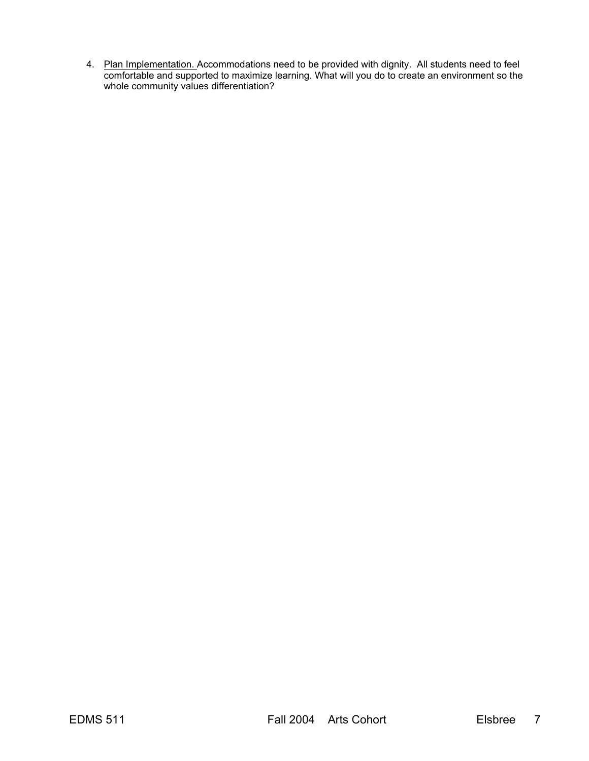4. Plan Implementation. Accommodations need to be provided with dignity. All students need to feel comfortable and supported to maximize learning. What will you do to create an environment so the whole community values differentiation?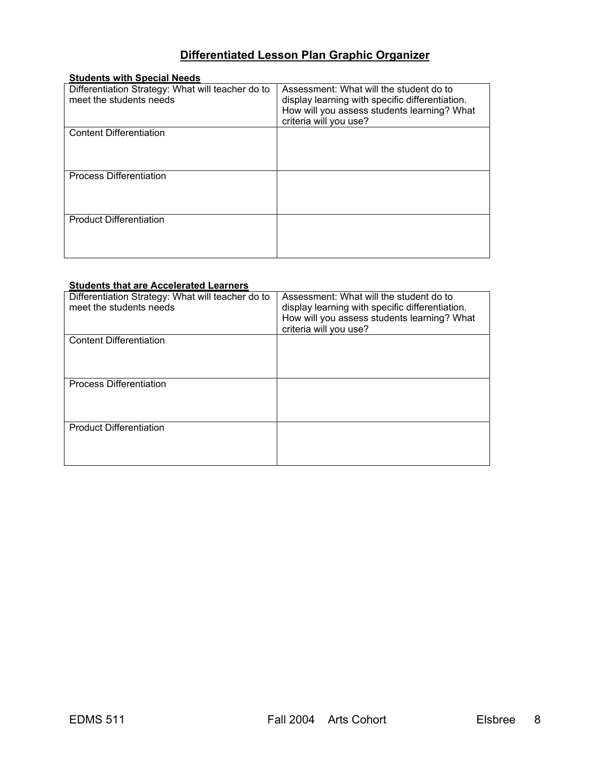## **Differentiated Lesson Plan Graphic Organizer**

| <b>Students with Special Needs</b>                |                                                 |
|---------------------------------------------------|-------------------------------------------------|
| Differentiation Strategy: What will teacher do to | Assessment: What will the student do to         |
| meet the students needs                           | display learning with specific differentiation. |
|                                                   | How will you assess students learning? What     |
|                                                   | criteria will you use?                          |
| <b>Content Differentiation</b>                    |                                                 |
|                                                   |                                                 |
|                                                   |                                                 |
|                                                   |                                                 |
| <b>Process Differentiation</b>                    |                                                 |
|                                                   |                                                 |
|                                                   |                                                 |
|                                                   |                                                 |
| <b>Product Differentiation</b>                    |                                                 |
|                                                   |                                                 |
|                                                   |                                                 |
|                                                   |                                                 |

## **Students that are Accelerated Learners**

| Differentiation Strategy: What will teacher do to<br>meet the students needs | Assessment: What will the student do to<br>display learning with specific differentiation.<br>How will you assess students learning? What<br>criteria will you use? |
|------------------------------------------------------------------------------|---------------------------------------------------------------------------------------------------------------------------------------------------------------------|
| <b>Content Differentiation</b>                                               |                                                                                                                                                                     |
| <b>Process Differentiation</b>                                               |                                                                                                                                                                     |
| <b>Product Differentiation</b>                                               |                                                                                                                                                                     |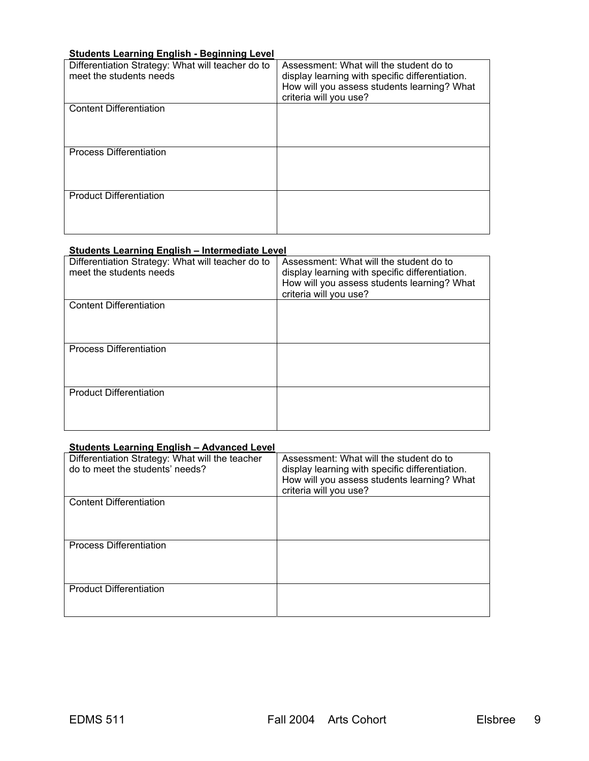## **Students Learning English - Beginning Level**

| Differentiation Strategy: What will teacher do to<br>meet the students needs | Assessment: What will the student do to<br>display learning with specific differentiation.<br>How will you assess students learning? What<br>criteria will you use? |
|------------------------------------------------------------------------------|---------------------------------------------------------------------------------------------------------------------------------------------------------------------|
| <b>Content Differentiation</b>                                               |                                                                                                                                                                     |
| <b>Process Differentiation</b>                                               |                                                                                                                                                                     |
| <b>Product Differentiation</b>                                               |                                                                                                                                                                     |

## **Students Learning English – Intermediate Level**

| Differentiation Strategy: What will teacher do to<br>meet the students needs | Assessment: What will the student do to<br>display learning with specific differentiation.<br>How will you assess students learning? What<br>criteria will you use? |
|------------------------------------------------------------------------------|---------------------------------------------------------------------------------------------------------------------------------------------------------------------|
| <b>Content Differentiation</b>                                               |                                                                                                                                                                     |
| <b>Process Differentiation</b>                                               |                                                                                                                                                                     |
| <b>Product Differentiation</b>                                               |                                                                                                                                                                     |

### **Students Learning English – Advanced Level**

| Differentiation Strategy: What will the teacher<br>do to meet the students' needs? | Assessment: What will the student do to<br>display learning with specific differentiation.<br>How will you assess students learning? What<br>criteria will you use? |
|------------------------------------------------------------------------------------|---------------------------------------------------------------------------------------------------------------------------------------------------------------------|
| <b>Content Differentiation</b>                                                     |                                                                                                                                                                     |
| <b>Process Differentiation</b>                                                     |                                                                                                                                                                     |
| <b>Product Differentiation</b>                                                     |                                                                                                                                                                     |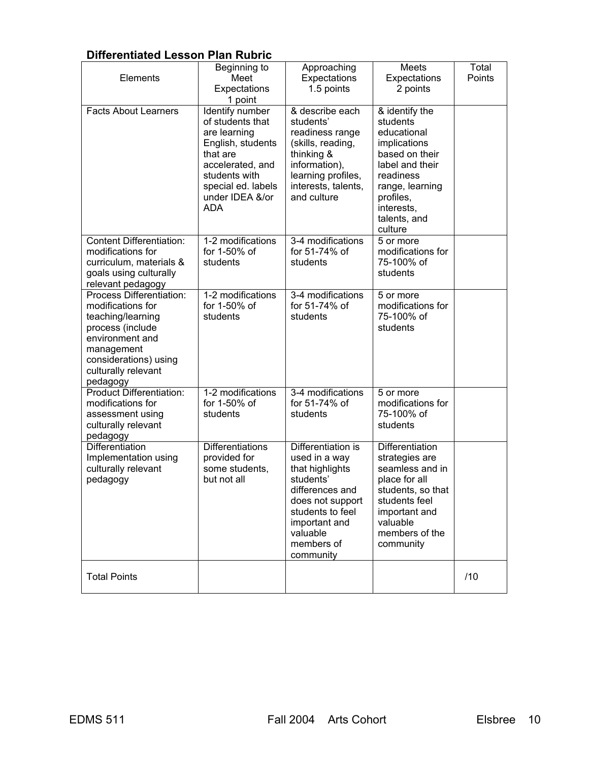## **Differentiated Lesson Plan Rubric**

| Elements                                                                                                                                                                            | Beginning to<br>Meet<br>Expectations<br>1 point                                                                                                                                  | Approaching<br>Expectations<br>1.5 points                                                                                                                                              | Meets<br>Expectations<br>2 points                                                                                                                                                    | Total<br>Points |
|-------------------------------------------------------------------------------------------------------------------------------------------------------------------------------------|----------------------------------------------------------------------------------------------------------------------------------------------------------------------------------|----------------------------------------------------------------------------------------------------------------------------------------------------------------------------------------|--------------------------------------------------------------------------------------------------------------------------------------------------------------------------------------|-----------------|
| <b>Facts About Learners</b>                                                                                                                                                         | Identify number<br>of students that<br>are learning<br>English, students<br>that are<br>accelerated, and<br>students with<br>special ed. labels<br>under IDEA &/or<br><b>ADA</b> | & describe each<br>students'<br>readiness range<br>(skills, reading,<br>thinking &<br>information),<br>learning profiles,<br>interests, talents,<br>and culture                        | & identify the<br>students<br>educational<br>implications<br>based on their<br>label and their<br>readiness<br>range, learning<br>profiles,<br>interests,<br>talents, and<br>culture |                 |
| <b>Content Differentiation:</b><br>modifications for<br>curriculum, materials &<br>goals using culturally<br>relevant pedagogy                                                      | 1-2 modifications<br>for 1-50% of<br>students                                                                                                                                    | 3-4 modifications<br>for 51-74% of<br>students                                                                                                                                         | 5 or more<br>modifications for<br>75-100% of<br>students                                                                                                                             |                 |
| Process Differentiation:<br>modifications for<br>teaching/learning<br>process (include<br>environment and<br>management<br>considerations) using<br>culturally relevant<br>pedagogy | 1-2 modifications<br>for 1-50% of<br>students                                                                                                                                    | 3-4 modifications<br>for 51-74% of<br>students                                                                                                                                         | 5 or more<br>modifications for<br>75-100% of<br>students                                                                                                                             |                 |
| <b>Product Differentiation:</b><br>modifications for<br>assessment using<br>culturally relevant<br>pedagogy                                                                         | 1-2 modifications<br>for 1-50% of<br>students                                                                                                                                    | 3-4 modifications<br>for 51-74% of<br>students                                                                                                                                         | 5 or more<br>modifications for<br>75-100% of<br>students                                                                                                                             |                 |
| Differentiation<br>Implementation using<br>culturally relevant<br>pedagogy                                                                                                          | <b>Differentiations</b><br>provided for<br>some students,<br>but not all                                                                                                         | Differentiation is<br>used in a way<br>that highlights<br>students'<br>differences and<br>does not support<br>students to feel<br>important and<br>valuable<br>members of<br>community | <b>Differentiation</b><br>strategies are<br>seamless and in<br>place for all<br>students, so that<br>students feel<br>important and<br>valuable<br>members of the<br>community       |                 |
| <b>Total Points</b>                                                                                                                                                                 |                                                                                                                                                                                  |                                                                                                                                                                                        |                                                                                                                                                                                      | /10             |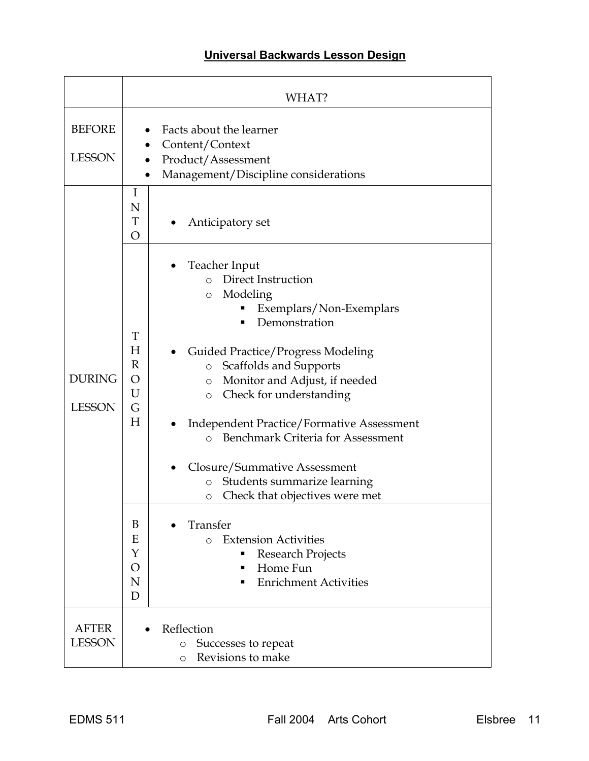## **Universal Backwards Lesson Design**

|                                | WHAT?                                                                                                                                                                                                                                                                                                                                                                                                                                                                                                                                                                                                                                                                                      |
|--------------------------------|--------------------------------------------------------------------------------------------------------------------------------------------------------------------------------------------------------------------------------------------------------------------------------------------------------------------------------------------------------------------------------------------------------------------------------------------------------------------------------------------------------------------------------------------------------------------------------------------------------------------------------------------------------------------------------------------|
| <b>BEFORE</b><br><b>LESSON</b> | Facts about the learner<br>Content/Context<br>Product/Assessment<br>Management/Discipline considerations<br>$\bullet$                                                                                                                                                                                                                                                                                                                                                                                                                                                                                                                                                                      |
|                                | I<br>N<br>T<br>Anticipatory set<br>$\overline{O}$                                                                                                                                                                                                                                                                                                                                                                                                                                                                                                                                                                                                                                          |
| <b>DURING</b><br><b>LESSON</b> | Teacher Input<br>o Direct Instruction<br>Modeling<br>$\circ$<br>Exemplars/Non-Exemplars<br>Demonstration<br>T<br>H<br><b>Guided Practice/Progress Modeling</b><br>R<br>Scaffolds and Supports<br>$\circ$<br>O<br>Monitor and Adjust, if needed<br>$\circ$<br>U<br>Check for understanding<br>$\circ$<br>G<br>H<br><b>Independent Practice/Formative Assessment</b><br>Benchmark Criteria for Assessment<br>$\Omega$<br>Closure/Summative Assessment<br>Students summarize learning<br>$\circ$<br>Check that objectives were met<br>O<br>B<br>Transfer<br>Ε<br><b>Extension Activities</b><br>$\Omega$<br>Y<br>Research Projects<br>Home Fun<br>O<br><b>Enrichment Activities</b><br>N<br>D |
| <b>AFTER</b><br><b>LESSON</b>  | Reflection<br>Successes to repeat<br>$\circ$<br>Revisions to make<br>$\circ$                                                                                                                                                                                                                                                                                                                                                                                                                                                                                                                                                                                                               |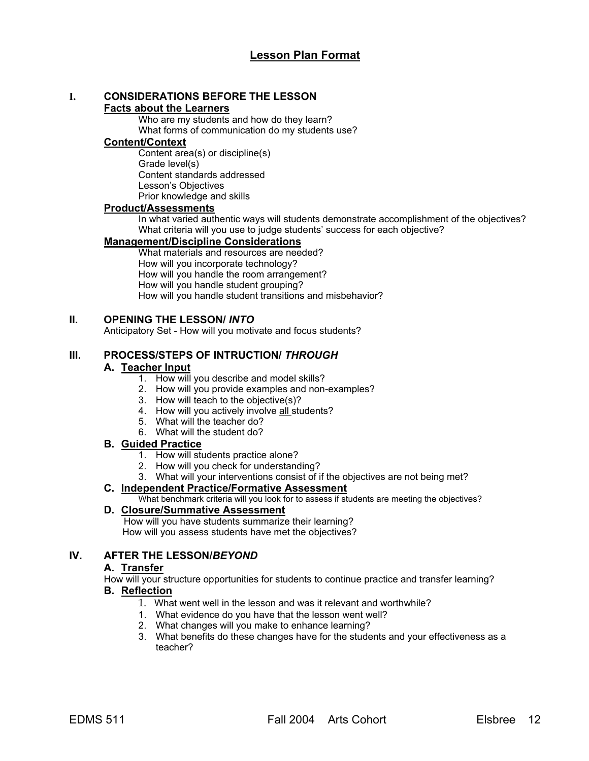# **I. CONSIDERATIONS BEFORE THE LESSON**

## **Facts about the Learners**

Who are my students and how do they learn? What forms of communication do my students use?

## **Content/Context**

Content area(s) or discipline(s) Grade level(s) Content standards addressed Lesson's Objectives Prior knowledge and skills

## **Product/Assessments**

In what varied authentic ways will students demonstrate accomplishment of the objectives? What criteria will you use to judge students' success for each objective?

## **Management/Discipline Considerations**

What materials and resources are needed? How will you incorporate technology? How will you handle the room arrangement? How will you handle student grouping? How will you handle student transitions and misbehavior?

## **II. OPENING THE LESSON/** *INTO*

Anticipatory Set - How will you motivate and focus students?

## **III. PROCESS/STEPS OF INTRUCTION/** *THROUGH*

## **A. Teacher Input**

- 1. How will you describe and model skills?
- 2. How will you provide examples and non-examples?
- 3. How will teach to the objective(s)?
- 4. How will you actively involve all students?
- 5. What will the teacher do?
- 6. What will the student do?

## **B. Guided Practice**

- 1. How will students practice alone?
- 2. How will you check for understanding?
- 3. What will your interventions consist of if the objectives are not being met?

## **C. Independent Practice/Formative Assessment**

What benchmark criteria will you look for to assess if students are meeting the objectives?

## **D. Closure/Summative Assessment**

 How will you have students summarize their learning? How will you assess students have met the objectives?

## **IV. AFTER THE LESSON/***BEYOND*

## **A. Transfer**

How will your structure opportunities for students to continue practice and transfer learning?

## **B. Reflection**

- 1. What went well in the lesson and was it relevant and worthwhile?
- 1. What evidence do you have that the lesson went well?
- 2. What changes will you make to enhance learning?
- 3. What benefits do these changes have for the students and your effectiveness as a teacher?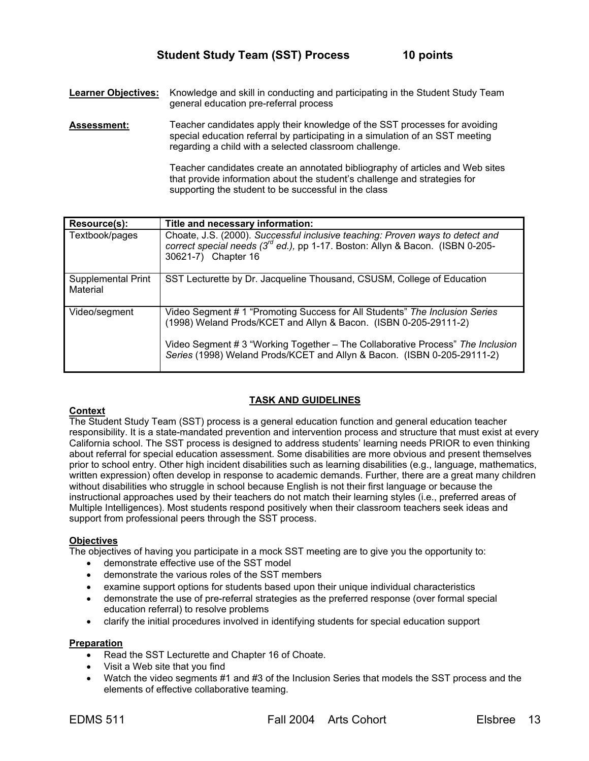**Learner Objectives:** Knowledge and skill in conducting and participating in the Student Study Team general education pre-referral process

**Assessment:** Teacher candidates apply their knowledge of the SST processes for avoiding special education referral by participating in a simulation of an SST meeting regarding a child with a selected classroom challenge.

> Teacher candidates create an annotated bibliography of articles and Web sites that provide information about the student's challenge and strategies for supporting the student to be successful in the class

| Resource(s):                   | Title and necessary information:                                                                                                                                                                                                                                                                             |
|--------------------------------|--------------------------------------------------------------------------------------------------------------------------------------------------------------------------------------------------------------------------------------------------------------------------------------------------------------|
| Textbook/pages                 | Choate, J.S. (2000). Successful inclusive teaching: Proven ways to detect and<br>correct special needs (3 <sup>rd</sup> ed.), pp 1-17. Boston: Allyn & Bacon. (ISBN 0-205-<br>30621-7) Chapter 16                                                                                                            |
| Supplemental Print<br>Material | SST Lecturette by Dr. Jacqueline Thousand, CSUSM, College of Education                                                                                                                                                                                                                                       |
| Video/segment                  | Video Segment # 1 "Promoting Success for All Students" The Inclusion Series<br>(1998) Weland Prods/KCET and Allyn & Bacon. (ISBN 0-205-29111-2)<br>Video Segment # 3 "Working Together - The Collaborative Process" The Inclusion<br>Series (1998) Weland Prods/KCET and Allyn & Bacon. (ISBN 0-205-29111-2) |

### **TASK AND GUIDELINES**

#### **Context**

The Student Study Team (SST) process is a general education function and general education teacher responsibility. It is a state-mandated prevention and intervention process and structure that must exist at every California school. The SST process is designed to address students' learning needs PRIOR to even thinking about referral for special education assessment. Some disabilities are more obvious and present themselves prior to school entry. Other high incident disabilities such as learning disabilities (e.g., language, mathematics, written expression) often develop in response to academic demands. Further, there are a great many children without disabilities who struggle in school because English is not their first language or because the instructional approaches used by their teachers do not match their learning styles (i.e., preferred areas of Multiple Intelligences). Most students respond positively when their classroom teachers seek ideas and support from professional peers through the SST process.

### **Objectives**

The objectives of having you participate in a mock SST meeting are to give you the opportunity to:

- demonstrate effective use of the SST model
- demonstrate the various roles of the SST members
- examine support options for students based upon their unique individual characteristics
- demonstrate the use of pre-referral strategies as the preferred response (over formal special education referral) to resolve problems
- clarify the initial procedures involved in identifying students for special education support

## **Preparation**

- Read the SST Lecturette and Chapter 16 of Choate.
- Visit a Web site that you find
- Watch the video segments #1 and #3 of the Inclusion Series that models the SST process and the elements of effective collaborative teaming.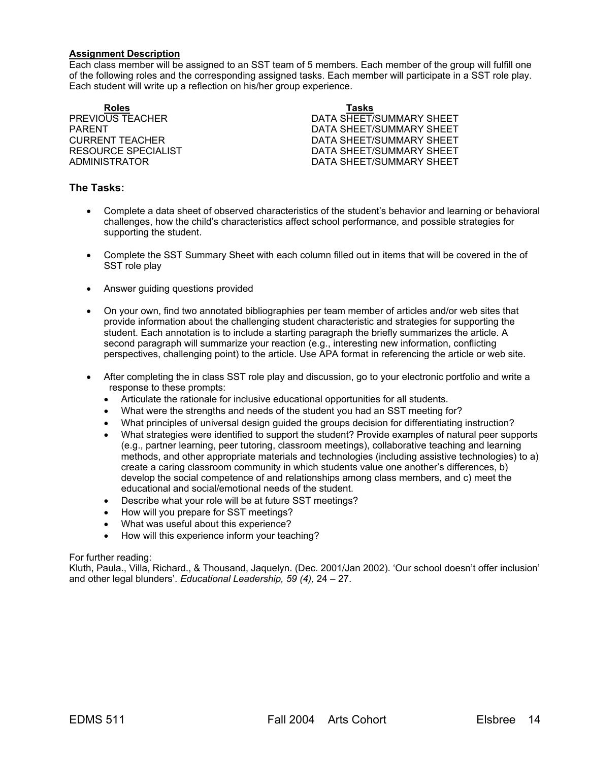#### **Assignment Description**

Each class member will be assigned to an SST team of 5 members. Each member of the group will fulfill one of the following roles and the corresponding assigned tasks. Each member will participate in a SST role play. Each student will write up a reflection on his/her group experience.

**Roles Tasks**

PREVIOUS TEACHER DATA SHEET/SUMMARY SHEET PARENT PARENT DATA SHEET/SUMMARY SHEET CURRENT TEACHER **DATA SHEET/SUMMARY SHEET** RESOURCE SPECIALIST **EXECUTE:** DATA SHEET/SUMMARY SHEET ADMINISTRATOR DATA SHEET/SUMMARY SHEET

## **The Tasks:**

- Complete a data sheet of observed characteristics of the student's behavior and learning or behavioral challenges, how the child's characteristics affect school performance, and possible strategies for supporting the student.
- Complete the SST Summary Sheet with each column filled out in items that will be covered in the of SST role play
- Answer guiding questions provided
- On your own, find two annotated bibliographies per team member of articles and/or web sites that provide information about the challenging student characteristic and strategies for supporting the student. Each annotation is to include a starting paragraph the briefly summarizes the article. A second paragraph will summarize your reaction (e.g., interesting new information, conflicting perspectives, challenging point) to the article. Use APA format in referencing the article or web site.
- After completing the in class SST role play and discussion, go to your electronic portfolio and write a response to these prompts:
	- Articulate the rationale for inclusive educational opportunities for all students.
	- What were the strengths and needs of the student you had an SST meeting for?
	- What principles of universal design guided the groups decision for differentiating instruction?
	- What strategies were identified to support the student? Provide examples of natural peer supports (e.g., partner learning, peer tutoring, classroom meetings), collaborative teaching and learning methods, and other appropriate materials and technologies (including assistive technologies) to a) create a caring classroom community in which students value one another's differences, b) develop the social competence of and relationships among class members, and c) meet the educational and social/emotional needs of the student.
	- Describe what your role will be at future SST meetings?
	- How will you prepare for SST meetings?
	- What was useful about this experience?
	- How will this experience inform your teaching?

#### For further reading:

Kluth, Paula., Villa, Richard., & Thousand, Jaquelyn. (Dec. 2001/Jan 2002). 'Our school doesn't offer inclusion' and other legal blunders'. *Educational Leadership, 59 (4),* 24 – 27.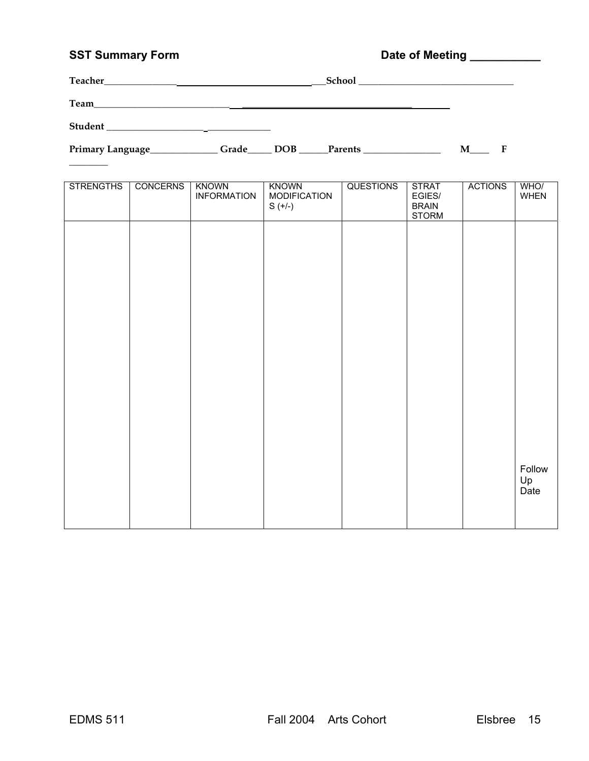## SST Summary Form **Date of Meeting Limits Community** Date of Meeting Limits 2007

| Teacher_ | School |
|----------|--------|
| Team     |        |
| Student  |        |

 $\overline{\phantom{a}}$ 

Primary Language\_\_\_\_\_\_\_\_\_\_\_\_\_Grade\_\_\_\_\_ DOB \_\_\_\_\_Parents \_\_\_\_\_\_\_\_\_\_\_\_\_\_\_\_\_\_\_\_\_\_ M\_\_\_\_\_ F

| <b>STRENGTHS</b> | <b>CONCERNS</b> | <b>KNOWN</b><br><b>INFORMATION</b> | <b>KNOWN</b><br><b>MODIFICATION</b><br>$S (+/-)$ | <b>QUESTIONS</b> | <b>STRAT</b><br>EGIES/<br><b>BRAIN</b><br><b>STORM</b> | <b>ACTIONS</b> | WHO/<br><b>WHEN</b>  |
|------------------|-----------------|------------------------------------|--------------------------------------------------|------------------|--------------------------------------------------------|----------------|----------------------|
|                  |                 |                                    |                                                  |                  |                                                        |                |                      |
|                  |                 |                                    |                                                  |                  |                                                        |                |                      |
|                  |                 |                                    |                                                  |                  |                                                        |                |                      |
|                  |                 |                                    |                                                  |                  |                                                        |                |                      |
|                  |                 |                                    |                                                  |                  |                                                        |                |                      |
|                  |                 |                                    |                                                  |                  |                                                        |                |                      |
|                  |                 |                                    |                                                  |                  |                                                        |                | Follow<br>Up<br>Date |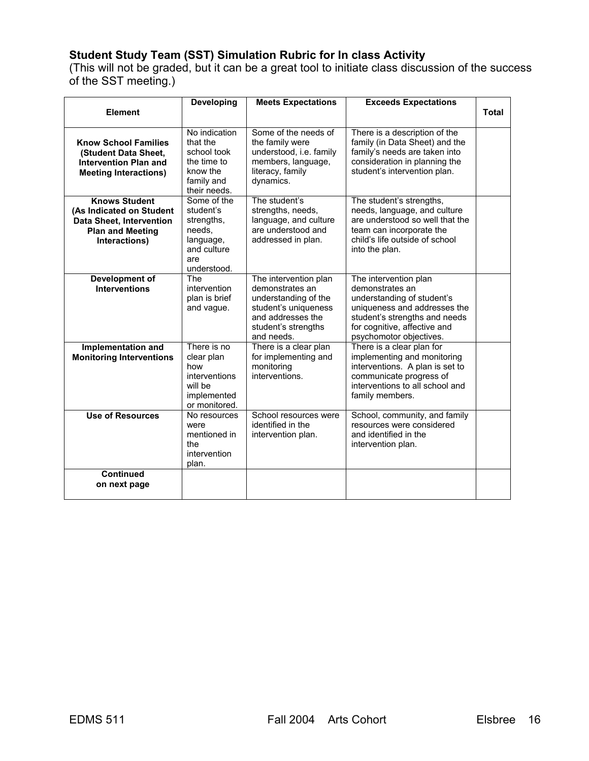## **Student Study Team (SST) Simulation Rubric for In class Activity**

(This will not be graded, but it can be a great tool to initiate class discussion of the success of the SST meeting.)

|                                                                                                                                 | <b>Developing</b>                                                                                  | <b>Meets Expectations</b>                                                                                                                          | <b>Exceeds Expectations</b>                                                                                                                                                                        |       |
|---------------------------------------------------------------------------------------------------------------------------------|----------------------------------------------------------------------------------------------------|----------------------------------------------------------------------------------------------------------------------------------------------------|----------------------------------------------------------------------------------------------------------------------------------------------------------------------------------------------------|-------|
| <b>Element</b>                                                                                                                  |                                                                                                    |                                                                                                                                                    |                                                                                                                                                                                                    | Total |
| <b>Know School Families</b><br>(Student Data Sheet,<br><b>Intervention Plan and</b><br><b>Meeting Interactions)</b>             | No indication<br>that the<br>school took<br>the time to<br>know the<br>family and<br>their needs.  | Some of the needs of<br>the family were<br>understood, i.e. family<br>members, language,<br>literacy, family<br>dynamics.                          | There is a description of the<br>family (in Data Sheet) and the<br>family's needs are taken into<br>consideration in planning the<br>student's intervention plan.                                  |       |
| <b>Knows Student</b><br>(As Indicated on Student<br><b>Data Sheet, Intervention</b><br><b>Plan and Meeting</b><br>Interactions) | Some of the<br>student's<br>strengths,<br>needs,<br>language,<br>and culture<br>are<br>understood. | The student's<br>strengths, needs,<br>language, and culture<br>are understood and<br>addressed in plan.                                            | The student's strengths,<br>needs, language, and culture<br>are understood so well that the<br>team can incorporate the<br>child's life outside of school<br>into the plan.                        |       |
| <b>Development of</b><br><b>Interventions</b>                                                                                   | The<br>intervention<br>plan is brief<br>and vague.                                                 | The intervention plan<br>demonstrates an<br>understanding of the<br>student's uniqueness<br>and addresses the<br>student's strengths<br>and needs. | The intervention plan<br>demonstrates an<br>understanding of student's<br>uniqueness and addresses the<br>student's strengths and needs<br>for cognitive, affective and<br>psychomotor objectives. |       |
| Implementation and<br><b>Monitoring Interventions</b>                                                                           | There is no<br>clear plan<br>how<br>interventions<br>will be<br>implemented<br>or monitored.       | There is a clear plan<br>for implementing and<br>monitoring<br>interventions.                                                                      | There is a clear plan for<br>implementing and monitoring<br>interventions. A plan is set to<br>communicate progress of<br>interventions to all school and<br>family members.                       |       |
| <b>Use of Resources</b>                                                                                                         | No resources<br>were<br>mentioned in<br>the<br>intervention<br>plan.                               | School resources were<br>identified in the<br>intervention plan.                                                                                   | School, community, and family<br>resources were considered<br>and identified in the<br>intervention plan.                                                                                          |       |
| <b>Continued</b><br>on next page                                                                                                |                                                                                                    |                                                                                                                                                    |                                                                                                                                                                                                    |       |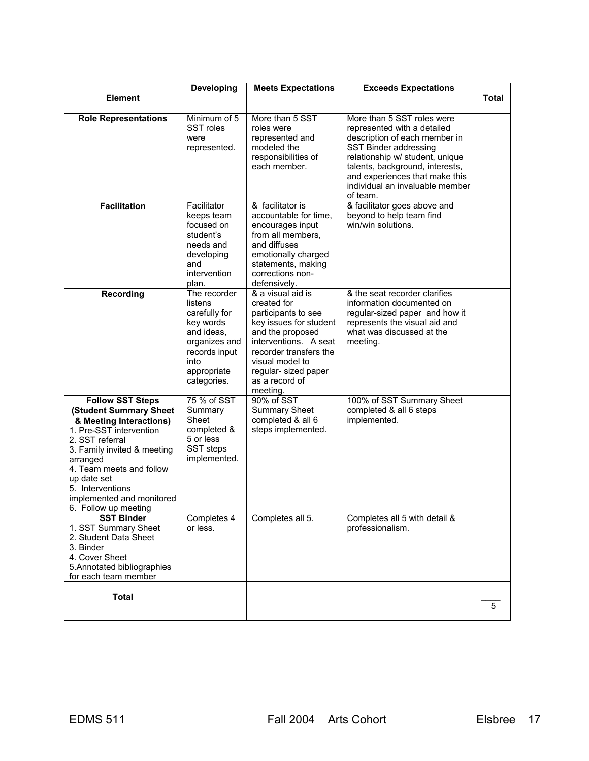|                                                                                                                                                                                                                                                                                           | Developing                                                                                                                                  | <b>Meets Expectations</b>                                                                                                                                                                                                         | <b>Exceeds Expectations</b>                                                                                                                                                                                                                                                |              |
|-------------------------------------------------------------------------------------------------------------------------------------------------------------------------------------------------------------------------------------------------------------------------------------------|---------------------------------------------------------------------------------------------------------------------------------------------|-----------------------------------------------------------------------------------------------------------------------------------------------------------------------------------------------------------------------------------|----------------------------------------------------------------------------------------------------------------------------------------------------------------------------------------------------------------------------------------------------------------------------|--------------|
| <b>Element</b>                                                                                                                                                                                                                                                                            |                                                                                                                                             |                                                                                                                                                                                                                                   |                                                                                                                                                                                                                                                                            | <b>Total</b> |
| <b>Role Representations</b>                                                                                                                                                                                                                                                               | Minimum of 5<br>SST roles<br>were<br>represented.                                                                                           | More than 5 SST<br>roles were<br>represented and<br>modeled the<br>responsibilities of<br>each member.                                                                                                                            | More than 5 SST roles were<br>represented with a detailed<br>description of each member in<br>SST Binder addressing<br>relationship w/ student, unique<br>talents, background, interests,<br>and experiences that make this<br>individual an invaluable member<br>of team. |              |
| <b>Facilitation</b>                                                                                                                                                                                                                                                                       | Facilitator<br>keeps team<br>focused on<br>student's<br>needs and<br>developing<br>and<br>intervention<br>plan.                             | & facilitator is<br>accountable for time,<br>encourages input<br>from all members,<br>and diffuses<br>emotionally charged<br>statements, making<br>corrections non-<br>defensively.                                               | & facilitator goes above and<br>beyond to help team find<br>win/win solutions.                                                                                                                                                                                             |              |
| <b>Recording</b>                                                                                                                                                                                                                                                                          | The recorder<br>listens<br>carefully for<br>key words<br>and ideas.<br>organizes and<br>records input<br>into<br>appropriate<br>categories. | & a visual aid is<br>created for<br>participants to see<br>key issues for student<br>and the proposed<br>interventions. A seat<br>recorder transfers the<br>visual model to<br>regular- sized paper<br>as a record of<br>meeting. | & the seat recorder clarifies<br>information documented on<br>regular-sized paper and how it<br>represents the visual aid and<br>what was discussed at the<br>meeting.                                                                                                     |              |
| <b>Follow SST Steps</b><br>(Student Summary Sheet<br>& Meeting Interactions)<br>1. Pre-SST intervention<br>2. SST referral<br>3. Family invited & meeting<br>arranged<br>4. Team meets and follow<br>up date set<br>5. Interventions<br>implemented and monitored<br>6. Follow up meeting | 75 % of SST<br>Summary<br>Sheet<br>completed &<br>5 or less<br>SST steps<br>implemented.                                                    | 90% of SST<br><b>Summary Sheet</b><br>completed & all 6<br>steps implemented.                                                                                                                                                     | 100% of SST Summary Sheet<br>completed & all 6 steps<br>implemented.                                                                                                                                                                                                       |              |
| <b>SST Binder</b><br>1. SST Summary Sheet<br>2. Student Data Sheet<br>3. Binder<br>4. Cover Sheet<br>5. Annotated bibliographies<br>for each team member                                                                                                                                  | Completes 4<br>or less.                                                                                                                     | Completes all 5.                                                                                                                                                                                                                  | Completes all 5 with detail &<br>professionalism.                                                                                                                                                                                                                          |              |
| <b>Total</b>                                                                                                                                                                                                                                                                              |                                                                                                                                             |                                                                                                                                                                                                                                   |                                                                                                                                                                                                                                                                            | 5            |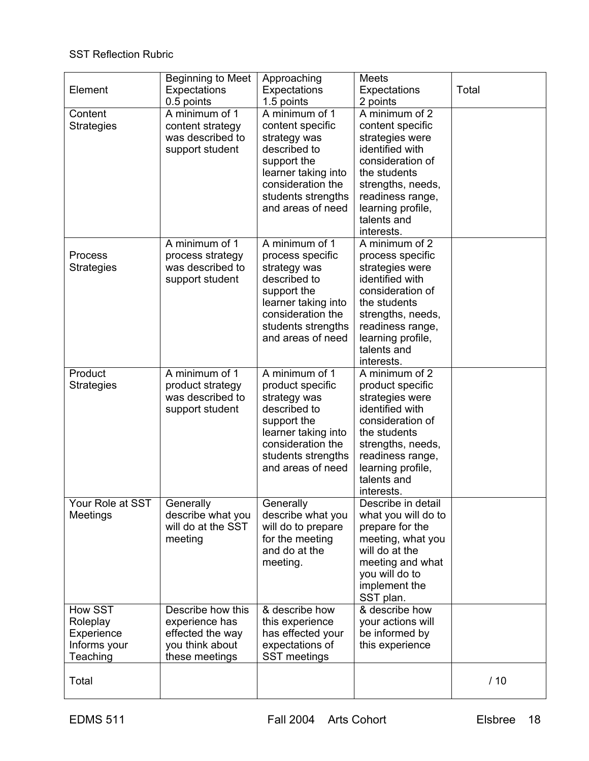## SST Reflection Rubric

| Element                                                       | <b>Beginning to Meet</b><br>Expectations<br>0.5 points                                       | Approaching<br>Expectations<br>1.5 points                                                                                                                                | <b>Meets</b><br>Expectations<br>2 points                                                                                                                                                                | Total |
|---------------------------------------------------------------|----------------------------------------------------------------------------------------------|--------------------------------------------------------------------------------------------------------------------------------------------------------------------------|---------------------------------------------------------------------------------------------------------------------------------------------------------------------------------------------------------|-------|
| Content<br><b>Strategies</b>                                  | A minimum of 1<br>content strategy<br>was described to<br>support student                    | A minimum of 1<br>content specific<br>strategy was<br>described to<br>support the<br>learner taking into<br>consideration the<br>students strengths<br>and areas of need | A minimum of 2<br>content specific<br>strategies were<br>identified with<br>consideration of<br>the students<br>strengths, needs,<br>readiness range,<br>learning profile,<br>talents and<br>interests. |       |
| Process<br><b>Strategies</b>                                  | A minimum of 1<br>process strategy<br>was described to<br>support student                    | A minimum of 1<br>process specific<br>strategy was<br>described to<br>support the<br>learner taking into<br>consideration the<br>students strengths<br>and areas of need | A minimum of 2<br>process specific<br>strategies were<br>identified with<br>consideration of<br>the students<br>strengths, needs,<br>readiness range,<br>learning profile,<br>talents and<br>interests. |       |
| Product<br><b>Strategies</b>                                  | A minimum of 1<br>product strategy<br>was described to<br>support student                    | A minimum of 1<br>product specific<br>strategy was<br>described to<br>support the<br>learner taking into<br>consideration the<br>students strengths<br>and areas of need | A minimum of 2<br>product specific<br>strategies were<br>identified with<br>consideration of<br>the students<br>strengths, needs,<br>readiness range,<br>learning profile,<br>talents and<br>interests. |       |
| Your Role at SST<br>Meetings                                  | Generally<br>describe what you<br>will do at the SST<br>meeting                              | Generally<br>describe what you<br>will do to prepare<br>for the meeting<br>and do at the<br>meeting.                                                                     | Describe in detail<br>what you will do to<br>prepare for the<br>meeting, what you<br>will do at the<br>meeting and what<br>you will do to<br>implement the<br>SST plan.                                 |       |
| How SST<br>Roleplay<br>Experience<br>Informs your<br>Teaching | Describe how this<br>experience has<br>effected the way<br>you think about<br>these meetings | & describe how<br>this experience<br>has effected your<br>expectations of<br>SST meetings                                                                                | & describe how<br>your actions will<br>be informed by<br>this experience                                                                                                                                |       |
| Total                                                         |                                                                                              |                                                                                                                                                                          |                                                                                                                                                                                                         | /10   |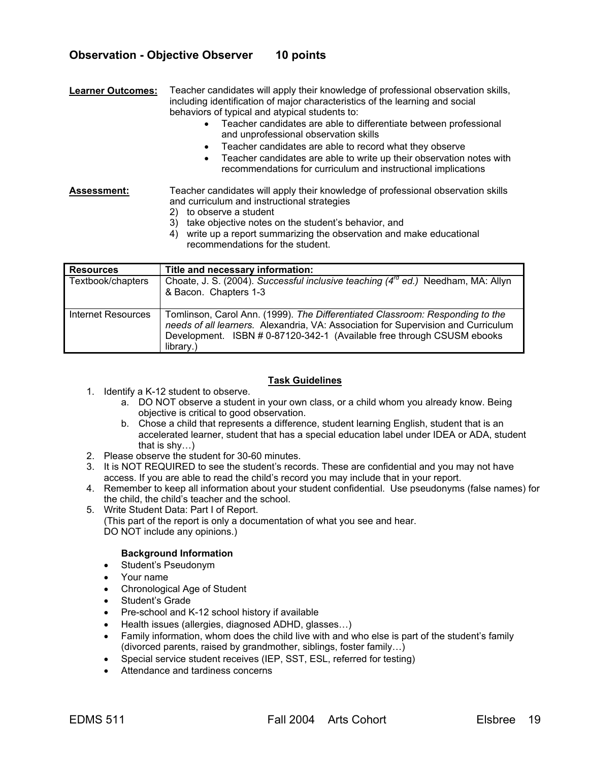## **Observation - Objective Observer 10 points**

**Learner Outcomes:** Teacher candidates will apply their knowledge of professional observation skills, including identification of major characteristics of the learning and social behaviors of typical and atypical students to:

- Teacher candidates are able to differentiate between professional and unprofessional observation skills
- Teacher candidates are able to record what they observe
- Teacher candidates are able to write up their observation notes with recommendations for curriculum and instructional implications

**Assessment:** Teacher candidates will apply their knowledge of professional observation skills and curriculum and instructional strategies

- 2) to observe a student
- 3) take objective notes on the student's behavior, and
- 4) write up a report summarizing the observation and make educational recommendations for the student.

| <b>Resources</b>          | Title and necessary information:                                                                                                                                                                                                                          |
|---------------------------|-----------------------------------------------------------------------------------------------------------------------------------------------------------------------------------------------------------------------------------------------------------|
| Textbook/chapters         | Choate, J. S. (2004). Successful inclusive teaching (4 <sup>rd</sup> ed.) Needham, MA: Allyn<br>& Bacon. Chapters 1-3                                                                                                                                     |
| <b>Internet Resources</b> | Tomlinson, Carol Ann. (1999). The Differentiated Classroom: Responding to the<br>needs of all learners. Alexandria, VA: Association for Supervision and Curriculum<br>Development. ISBN # 0-87120-342-1 (Available free through CSUSM ebooks<br>library.) |

#### **Task Guidelines**

- 1. Identify a K-12 student to observe.
	- a. DO NOT observe a student in your own class, or a child whom you already know. Being objective is critical to good observation.
	- b. Chose a child that represents a difference, student learning English, student that is an accelerated learner, student that has a special education label under IDEA or ADA, student that is shy…)
- 2. Please observe the student for 30-60 minutes.
- 3. It is NOT REQUIRED to see the student's records. These are confidential and you may not have access. If you are able to read the child's record you may include that in your report.
- 4. Remember to keep all information about your student confidential. Use pseudonyms (false names) for the child, the child's teacher and the school.
- 5. Write Student Data: Part I of Report. (This part of the report is only a documentation of what you see and hear.
	- DO NOT include any opinions.)

#### **Background Information**

- Student's Pseudonym
- Your name
- Chronological Age of Student
- Student's Grade
- Pre-school and K-12 school history if available
- Health issues (allergies, diagnosed ADHD, glasses…)
- Family information, whom does the child live with and who else is part of the student's family (divorced parents, raised by grandmother, siblings, foster family…)
- Special service student receives (IEP, SST, ESL, referred for testing)
- Attendance and tardiness concerns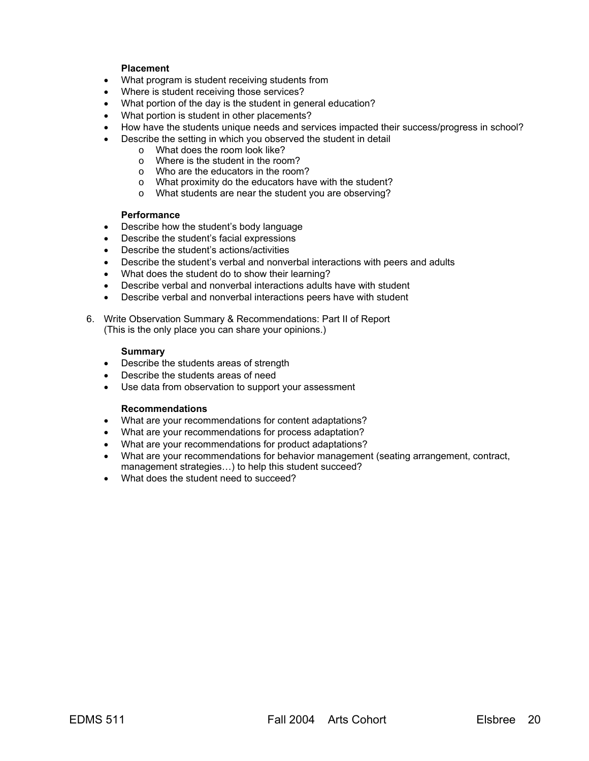#### **Placement**

- What program is student receiving students from
- Where is student receiving those services?
- What portion of the day is the student in general education?
- What portion is student in other placements?
- How have the students unique needs and services impacted their success/progress in school?
	- Describe the setting in which you observed the student in detail
		- o What does the room look like?
		- o Where is the student in the room?
		- o Who are the educators in the room?
		- o What proximity do the educators have with the student?
		- o What students are near the student you are observing?

#### **Performance**

- Describe how the student's body language
- Describe the student's facial expressions
- Describe the student's actions/activities
- Describe the student's verbal and nonverbal interactions with peers and adults
- What does the student do to show their learning?
- Describe verbal and nonverbal interactions adults have with student
- Describe verbal and nonverbal interactions peers have with student
- 6. Write Observation Summary & Recommendations: Part II of Report (This is the only place you can share your opinions.)

#### **Summary**

- Describe the students areas of strength
- Describe the students areas of need
- Use data from observation to support your assessment

#### **Recommendations**

- What are your recommendations for content adaptations?
- What are your recommendations for process adaptation?
- What are your recommendations for product adaptations?
- What are your recommendations for behavior management (seating arrangement, contract, management strategies...) to help this student succeed?
- What does the student need to succeed?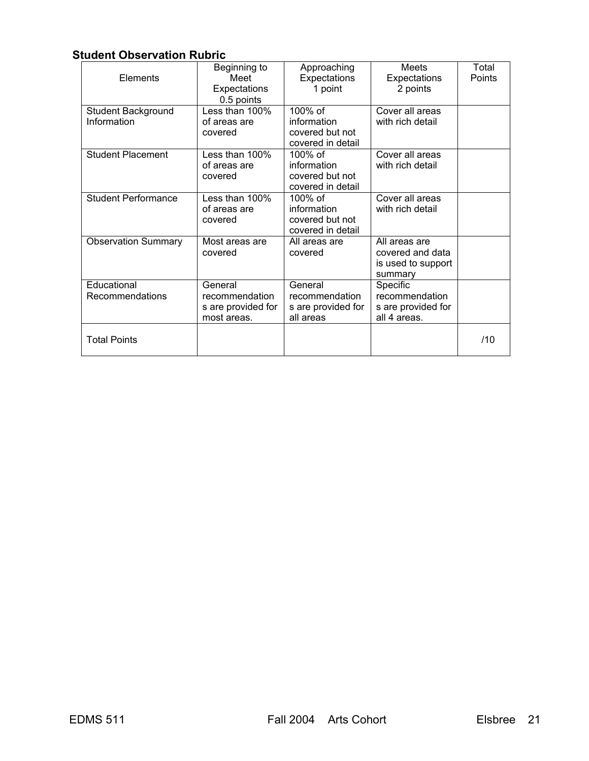## **Student Observation Rubric**

| Elements                          | Beginning to<br>Meet<br>Expectations<br>0.5 points             | Approaching<br>Expectations<br>1 point                          | Meets<br>Expectations<br>2 points                                  | Total<br>Points |
|-----------------------------------|----------------------------------------------------------------|-----------------------------------------------------------------|--------------------------------------------------------------------|-----------------|
| Student Background<br>Information | Less than 100%<br>of areas are<br>covered                      | 100% of<br>information<br>covered but not<br>covered in detail  | Cover all areas<br>with rich detail                                |                 |
| <b>Student Placement</b>          | Less than 100%<br>of areas are<br>covered                      | 100% of<br>information<br>covered but not<br>covered in detail  | Cover all areas<br>with rich detail                                |                 |
| <b>Student Performance</b>        | Less than 100%<br>of areas are<br>covered                      | 100\% of<br>information<br>covered but not<br>covered in detail | Cover all areas<br>with rich detail                                |                 |
| <b>Observation Summary</b>        | Most areas are<br>covered                                      | All areas are<br>covered                                        | All areas are<br>covered and data<br>is used to support<br>summary |                 |
| Educational<br>Recommendations    | General<br>recommendation<br>s are provided for<br>most areas. | General<br>recommendation<br>s are provided for<br>all areas    | Specific<br>recommendation<br>s are provided for<br>all 4 areas.   |                 |
| <b>Total Points</b>               |                                                                |                                                                 |                                                                    | /10             |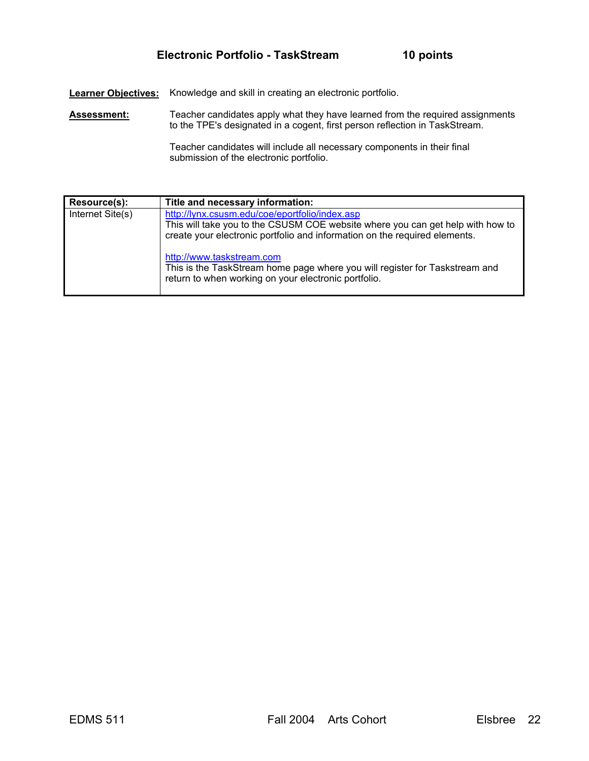**Learner Objectives:** Knowledge and skill in creating an electronic portfolio.

Assessment: Teacher candidates apply what they have learned from the required assignments to the TPE's designated in a cogent, first person reflection in TaskStream.

> Teacher candidates will include all necessary components in their final submission of the electronic portfolio.

| Resource(s):     | Title and necessary information:                                                                                                                                                                               |
|------------------|----------------------------------------------------------------------------------------------------------------------------------------------------------------------------------------------------------------|
| Internet Site(s) | http://lynx.csusm.edu/coe/eportfolio/index.asp<br>This will take you to the CSUSM COE website where you can get help with how to<br>create your electronic portfolio and information on the required elements. |
|                  | http://www.taskstream.com<br>This is the TaskStream home page where you will register for Taskstream and<br>return to when working on your electronic portfolio.                                               |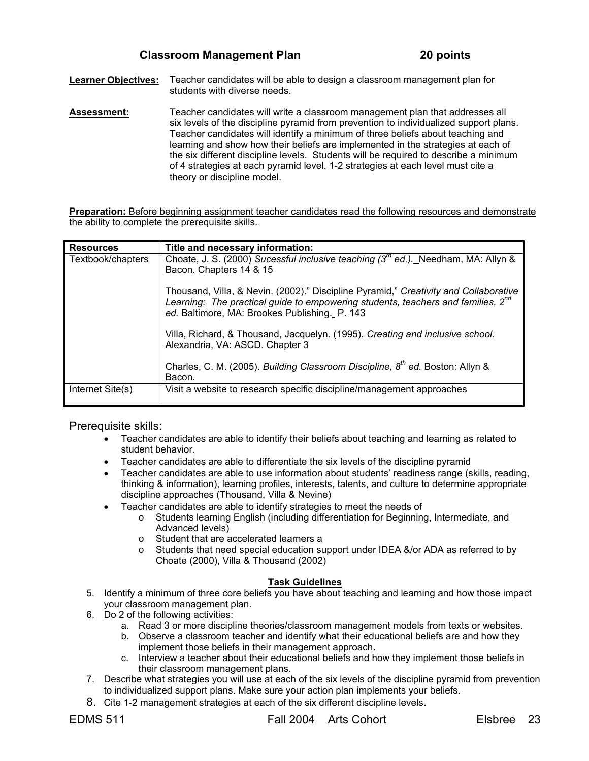**Learner Objectives:** Teacher candidates will be able to design a classroom management plan for students with diverse needs.

**Assessment:** Teacher candidates will write a classroom management plan that addresses all six levels of the discipline pyramid from prevention to individualized support plans. Teacher candidates will identify a minimum of three beliefs about teaching and learning and show how their beliefs are implemented in the strategies at each of the six different discipline levels. Students will be required to describe a minimum of 4 strategies at each pyramid level. 1-2 strategies at each level must cite a theory or discipline model.

**Preparation:** Before beginning assignment teacher candidates read the following resources and demonstrate the ability to complete the prerequisite skills.

| <b>Resources</b>  | Title and necessary information:                                                                                                                                                                                                      |
|-------------------|---------------------------------------------------------------------------------------------------------------------------------------------------------------------------------------------------------------------------------------|
| Textbook/chapters | Choate, J. S. (2000) Sucessful inclusive teaching ( $3^{\prime\prime\prime}$ ed.). Needham, MA: Allyn &                                                                                                                               |
|                   | Bacon. Chapters 14 & 15                                                                                                                                                                                                               |
|                   | Thousand, Villa, & Nevin. (2002)." Discipline Pyramid," Creativity and Collaborative<br>Learning: The practical guide to empowering students, teachers and families, 2 <sup>nd</sup><br>ed. Baltimore, MA: Brookes Publishing. P. 143 |
|                   |                                                                                                                                                                                                                                       |
|                   | Villa, Richard, & Thousand, Jacquelyn. (1995). Creating and inclusive school.<br>Alexandria, VA: ASCD. Chapter 3                                                                                                                      |
|                   | Charles, C. M. (2005). Building Classroom Discipline, 8 <sup>th</sup> ed. Boston: Allyn &<br>Bacon.                                                                                                                                   |
| Internet Site(s)  | Visit a website to research specific discipline/management approaches                                                                                                                                                                 |

Prerequisite skills:

- Teacher candidates are able to identify their beliefs about teaching and learning as related to student behavior.
- Teacher candidates are able to differentiate the six levels of the discipline pyramid
- Teacher candidates are able to use information about students' readiness range (skills, reading, thinking & information), learning profiles, interests, talents, and culture to determine appropriate discipline approaches (Thousand, Villa & Nevine)
- Teacher candidates are able to identify strategies to meet the needs of
	- o Students learning English (including differentiation for Beginning, Intermediate, and Advanced levels)
	- o Student that are accelerated learners a
	- o Students that need special education support under IDEA &/or ADA as referred to by Choate (2000), Villa & Thousand (2002)

#### **Task Guidelines**

- 5. Identify a minimum of three core beliefs you have about teaching and learning and how those impact your classroom management plan.
- 6. Do 2 of the following activities:
	- a. Read 3 or more discipline theories/classroom management models from texts or websites.
	- b. Observe a classroom teacher and identify what their educational beliefs are and how they implement those beliefs in their management approach.
	- c. Interview a teacher about their educational beliefs and how they implement those beliefs in their classroom management plans.
- 7. Describe what strategies you will use at each of the six levels of the discipline pyramid from prevention to individualized support plans. Make sure your action plan implements your beliefs.
- 8. Cite 1-2 management strategies at each of the six different discipline levels.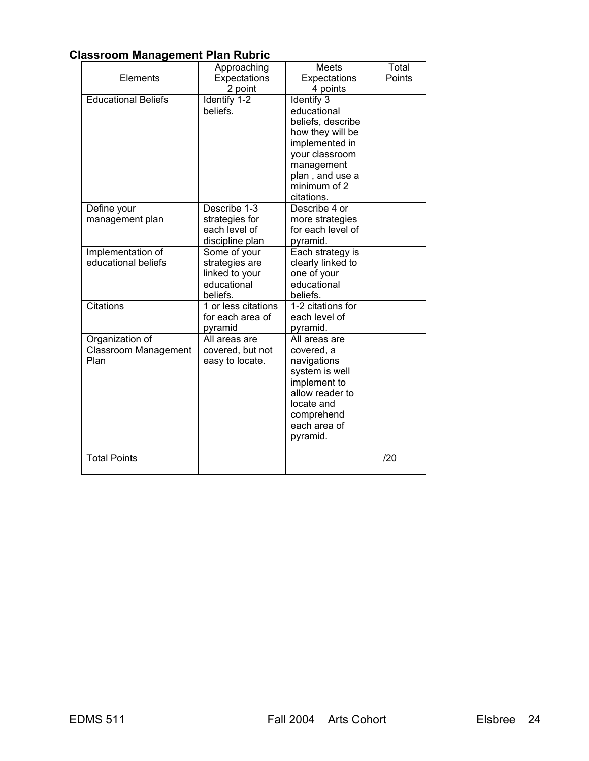## **Classroom Management Plan Rubric**

|                                                 | Approaching                                                                 | Meets                                                                                                                                                                 | Total  |
|-------------------------------------------------|-----------------------------------------------------------------------------|-----------------------------------------------------------------------------------------------------------------------------------------------------------------------|--------|
| Elements                                        | Expectations                                                                | Expectations                                                                                                                                                          | Points |
|                                                 | 2 point                                                                     | 4 points                                                                                                                                                              |        |
| <b>Educational Beliefs</b>                      | Identify 1-2<br>beliefs.                                                    | Identify 3<br>educational<br>beliefs, describe<br>how they will be<br>implemented in<br>your classroom<br>management<br>plan, and use a<br>minimum of 2<br>citations. |        |
| Define your<br>management plan                  | Describe 1-3<br>strategies for<br>each level of<br>discipline plan          | Describe 4 or<br>more strategies<br>for each level of<br>pyramid.                                                                                                     |        |
| Implementation of<br>educational beliefs        | Some of your<br>strategies are<br>linked to your<br>educational<br>beliefs. | Each strategy is<br>clearly linked to<br>one of your<br>educational<br>beliefs.                                                                                       |        |
| <b>Citations</b>                                | 1 or less citations<br>for each area of<br>pyramid                          | 1-2 citations for<br>each level of<br>pyramid.                                                                                                                        |        |
| Organization of<br>Classroom Management<br>Plan | All areas are<br>covered, but not<br>easy to locate.                        | All areas are<br>covered, a<br>navigations<br>system is well<br>implement to<br>allow reader to<br>locate and<br>comprehend<br>each area of<br>pyramid.               |        |
| <b>Total Points</b>                             |                                                                             |                                                                                                                                                                       | /20    |